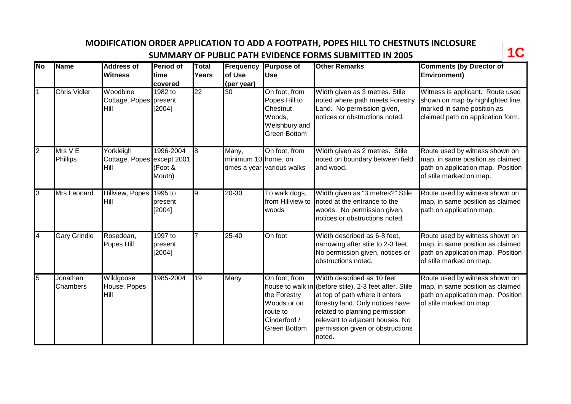**MODIFICATION ORDER APPLICATION TO ADD A FOOTPATH, POPES HILL TO CHESTNUTS INCLOSURE SUMMARY OF PUBLIC PATH EVIDENCE FORMS SUBMITTED IN 2005** 



| $\overline{\mathsf{No}}$ | <b>Name</b>          | <b>Address of</b><br><b>Witness</b>             | <b>Period of</b><br>ltime<br>covered | Total<br>Years  | Frequency<br>of Use<br>(per year) | <b>Purpose of</b><br><b>Use</b>                                                              | <b>Other Remarks</b>                                                                                                                                                                                                                                                          | <b>Comments (by Director of</b><br><b>Environment)</b>                                                                                   |
|--------------------------|----------------------|-------------------------------------------------|--------------------------------------|-----------------|-----------------------------------|----------------------------------------------------------------------------------------------|-------------------------------------------------------------------------------------------------------------------------------------------------------------------------------------------------------------------------------------------------------------------------------|------------------------------------------------------------------------------------------------------------------------------------------|
|                          | <b>Chris Vidler</b>  | Woodbine<br>Cottage, Popes present<br>Hill      | 1982 to<br>[2004]                    | $\overline{22}$ | 30                                | On foot, from<br>Popes Hill to<br>Chestnut<br>Woods,<br>Welshbury and<br><b>Green Bottom</b> | Width given as 3 metres. Stile<br>noted where path meets Forestry<br>Land. No permission given,<br>notices or obstructions noted.                                                                                                                                             | Witness is applicant. Route used<br>shown on map by highlighted line,<br>marked in same position as<br>claimed path on application form. |
| $\overline{2}$           | Mrs V E<br>Phillips  | Yorkleigh<br>Cottage, Popes except 2001<br>Hill | 1996-2004<br>(Foot &<br>Mouth)       | 8               | Many,<br>minimum 10 home, on      | On foot, from<br>times a year various walks                                                  | Width given as 2 metres. Stile<br>noted on boundary between field<br>and wood.                                                                                                                                                                                                | Route used by witness shown on<br>map, in same position as claimed<br>path on application map. Position<br>of stile marked on map.       |
| 3                        | Mrs Leonard          | Hillview, Popes 1995 to<br>Hill                 | present<br>[2004]                    | o               | 20-30                             | To walk dogs,<br>from Hillview to<br>woods                                                   | Width given as "3 metres?" Stile<br>noted at the entrance to the<br>woods. No permission given,<br>notices or obstructions noted.                                                                                                                                             | Route used by witness shown on<br>map, in same position as claimed<br>path on application map.                                           |
| 4                        | <b>Gary Grindle</b>  | Rosedean,<br>Popes Hill                         | $1997$ to<br>present<br>[2004]       |                 | $25 - 40$                         | On foot                                                                                      | Width described as 6-8 feet,<br>narrowing after stile to 2-3 feet.<br>No permission given, notices or<br>obstructions noted.                                                                                                                                                  | Route used by witness shown on<br>map, in same position as claimed<br>path on application map. Position<br>of stile marked on map.       |
| 5                        | Jonathan<br>Chambers | Wildgoose<br>House, Popes<br>Hill               | 1985-2004                            | $\overline{19}$ | Many                              | On foot, from<br>the Forestry<br>Woods or on<br>route to<br>Cinderford /<br>Green Bottom.    | Width described as 10 feet<br>house to walk in (before stile), 2-3 feet after. Stile<br>at top of path where it enters<br>forestry land. Only notices have<br>related to planning permission<br>relevant to adjacent houses. No<br>permission given or obstructions<br>noted. | Route used by witness shown on<br>map, in same position as claimed<br>path on application map. Position<br>of stile marked on map.       |